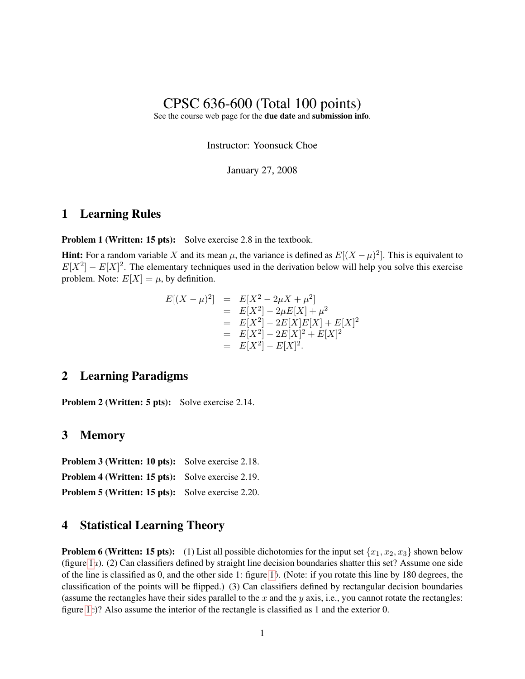# CPSC 636-600 (Total 100 points)

See the course web page for the due date and submission info.

Instructor: Yoonsuck Choe

January 27, 2008

#### 1 Learning Rules

**Problem 1 (Written: 15 pts):** Solve exercise 2.8 in the textbook.

**Hint:** For a random variable X and its mean  $\mu$ , the variance is defined as  $E[(X - \mu)^2]$ . This is equivalent to  $E[X^2] - E[X]^2$ . The elementary techniques used in the derivation below will help you solve this exercise problem. Note:  $E[X] = \mu$ , by definition.

$$
E[(X - \mu)^2] = E[X^2 - 2\mu X + \mu^2]
$$
  
=  $E[X^2] - 2\mu E[X] + \mu^2$   
=  $E[X^2] - 2E[X]E[X] + E[X]^2$   
=  $E[X^2] - 2E[X]^2 + E[X]^2$   
=  $E[X^2] - E[X]^2$ .

### 2 Learning Paradigms

Problem 2 (Written: 5 pts): Solve exercise 2.14.

#### 3 Memory

Problem 3 (Written: 10 pts): Solve exercise 2.18. Problem 4 (Written: 15 pts): Solve exercise 2.19.

Problem 5 (Written: 15 pts): Solve exercise 2.20.

#### 4 Statistical Learning Theory

**Problem 6 (Written: 15 pts):** (1) List all possible dichotomies for the input set  $\{x_1, x_2, x_3\}$  shown below (figure [1](#page-1-0)a). (2) Can classifiers defined by straight line decision boundaries shatter this set? Assume one side of the line is classified as 0, and the other side 1: figure [1](#page-1-0)b. (Note: if you rotate this line by 180 degrees, the classification of the points will be flipped.) (3) Can classifiers defined by rectangular decision boundaries (assume the rectangles have their sides parallel to the  $x$  and the  $y$  axis, i.e., you cannot rotate the rectangles: figure [1](#page-1-0)c)? Also assume the interior of the rectangle is classified as 1 and the exterior 0.